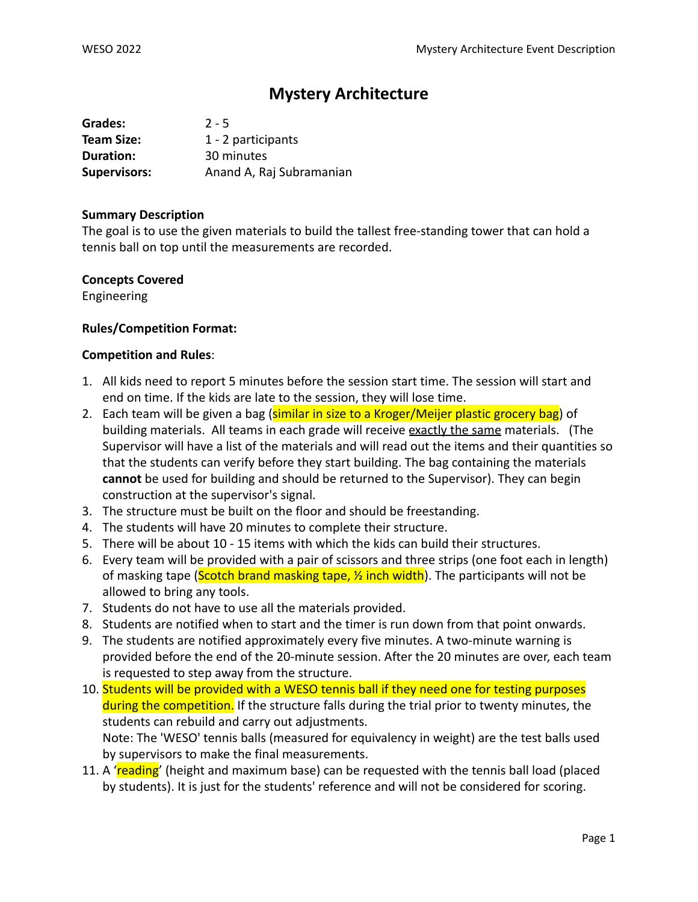# **Mystery Architecture**

| Grades:             | $2 - 5$                  |
|---------------------|--------------------------|
| <b>Team Size:</b>   | 1 - 2 participants       |
| Duration:           | 30 minutes               |
| <b>Supervisors:</b> | Anand A, Raj Subramanian |

#### **Summary Description**

The goal is to use the given materials to build the tallest free-standing tower that can hold a tennis ball on top until the measurements are recorded.

## **Concepts Covered**

Engineering

## **Rules/Competition Format:**

## **Competition and Rules**:

- 1. All kids need to report 5 minutes before the session start time. The session will start and end on time. If the kids are late to the session, they will lose time.
- 2. Each team will be given a bag (similar in size to a Kroger/Meijer plastic grocery bag) of building materials. All teams in each grade will receive exactly the same materials. (The Supervisor will have a list of the materials and will read out the items and their quantities so that the students can verify before they start building. The bag containing the materials **cannot** be used for building and should be returned to the Supervisor). They can begin construction at the supervisor's signal.
- 3. The structure must be built on the floor and should be freestanding.
- 4. The students will have 20 minutes to complete their structure.
- 5. There will be about 10 15 items with which the kids can build their structures.
- 6. Every team will be provided with a pair of scissors and three strips (one foot each in length) of masking tape (Scotch brand masking tape,  $\frac{1}{2}$  inch width). The participants will not be allowed to bring any tools.
- 7. Students do not have to use all the materials provided.
- 8. Students are notified when to start and the timer is run down from that point onwards.
- 9. The students are notified approximately every five minutes. A two-minute warning is provided before the end of the 20-minute session. After the 20 minutes are over, each team is requested to step away from the structure.
- 10. Students will be provided with a WESO tennis ball if they need one for testing purposes during the competition. If the structure falls during the trial prior to twenty minutes, the students can rebuild and carry out adjustments. Note: The 'WESO' tennis balls (measured for equivalency in weight) are the test balls used by supervisors to make the final measurements.
- 11. A 'reading' (height and maximum base) can be requested with the tennis ball load (placed by students). It is just for the students' reference and will not be considered for scoring.